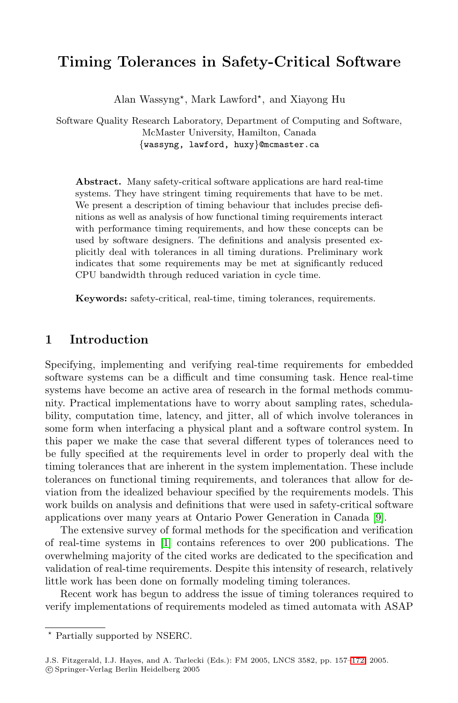# **Timing Tolerances in Safety-Critical Software**

Alan Wassyng<sup>\*</sup>, Mark Lawford<sup>\*</sup>, and Xiayong Hu

Software Quality Research Laboratory, Department of Computing and Software, McMaster University, Hamilton, Canada {wassyng, lawford, huxy}@mcmaster.ca

**Abstract.** Many safety-critical software applications are hard real-time systems. They have stringent timing requirements that have to be met. We present a description of timing behaviour that includes precise definitions as well as analysis of how functional timing requirements interact with performance timing requirements, and how these concepts can be used by software designers. The definitions and analysis presented explicitly deal with tolerances in all timing durations. Preliminary work indicates that some requirements may be met at significantly reduced CPU bandwidth through reduced variation in cycle time.

**Keywords:** safety-critical, real-time, timing tolerances, requirements.

### **1 Introduction**

Specifying, implementing and verifying real-time requirements for embedded software systems can be a difficult and time consuming task. Hence real-time systems have become an active area of research in the formal methods community. Practical implementations have to worry about sampling rates, schedulability, computation time, latency, and jitter, all of which involve tolerances in some form when interfacing a physical plant and a software control system. In this paper we make the case that several different types of tolerances need to be fully specified at the requirements level in order to properly deal with the timing tolerances that are inherent in the system implementation. These include tolerances on functional timing requirements, and tolerances that allow for deviation from the idealized behaviour specified by the requirements models. This work builds on analysis and definitions that were used in safety-critical software applications over many years at Ontario Power Generation in Canada [\[9\]](#page-15-0).

The extensive survey of formal methods for the specification and verification of real-time systems in [\[1\]](#page-15-1) contains references to over 200 publications. The overwhelming majority of the cited works are dedicated to the specification and validation of real-time requirements. Despite this intensity of research, relatively little work has been done on formally modeling timing tolerances.

Recent work has begun to address the issue of timing tolerances required to verify implementations of requirements modeled as timed automata with ASAP

Partially supported by NSERC.

J.S. Fitzgerald, I.J. Hayes, and A. Tarlecki (Eds.): FM 2005, LNCS 3582, pp. 157[–172,](#page-15-2) 2005. c Springer-Verlag Berlin Heidelberg 2005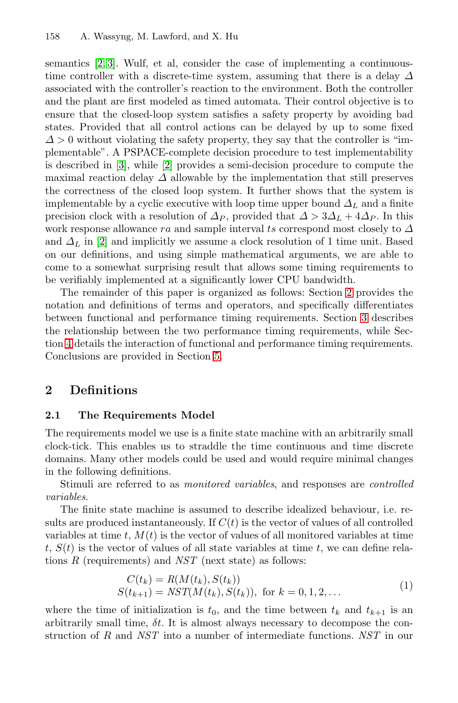semantics [\[2,](#page-15-3) [3\]](#page-15-4). Wulf, et al, consider the case of implementing a continuoustime controller with a discrete-time system, assuming that there is a delay  $\Delta$ associated with the controller's reaction to the environment. Both the controller and the plant are first modeled as timed automata. Their control objective is to ensure that the closed-loop system satisfies a safety property by avoiding bad states. Provided that all control actions can be delayed by up to some fixed  $\Delta > 0$  without violating the safety property, they say that the controller is "implementable". A PSPACE-complete decision procedure to test implementability is described in [\[3\]](#page-15-4), while [\[2\]](#page-15-3) provides a semi-decision procedure to compute the maximal reaction delay  $\Delta$  allowable by the implementation that still preserves the correctness of the closed loop system. It further shows that the system is implementable by a cyclic executive with loop time upper bound  $\Delta_L$  and a finite precision clock with a resolution of  $\Delta_P$ , provided that  $\Delta > 3\Delta_L + 4\Delta_P$ . In this work response allowance ra and sample interval ts correspond most closely to  $\Delta$ and  $\Delta_L$  in [\[2\]](#page-15-3) and implicitly we assume a clock resolution of 1 time unit. Based on our definitions, and using simple mathematical arguments, we are able to come to a somewhat surprising result that allows some timing requirements to be verifiably implemented at a significantly lower CPU bandwidth.

The remainder of this paper is organized as follows: Section [2](#page-1-0) provides the notation and definitions of terms and operators, and specifically differentiates between functional and performance timing requirements. Section [3](#page-8-0) describes the relationship between the two performance timing requirements, while Section [4](#page-9-0) details the interaction of functional and performance timing requirements. Conclusions are provided in Section [5.](#page-14-0)

### <span id="page-1-0"></span>**2 Definitions**

#### **2.1 The Requirements Model**

The requirements model we use is a finite state machine with an arbitrarily small clock-tick. This enables us to straddle the time continuous and time discrete domains. Many other models could be used and would require minimal changes in the following definitions.

Stimuli are referred to as *monitored variables*, and responses are *controlled variables*.

The finite state machine is assumed to describe idealized behaviour, i.e. results are produced instantaneously. If  $C(t)$  is the vector of values of all controlled variables at time  $t, M(t)$  is the vector of values of all monitored variables at time t,  $S(t)$  is the vector of values of all state variables at time t, we can define relations R (requirements) and *NST* (next state) as follows:

$$
C(t_k) = R(M(t_k), S(t_k))
$$
  
\n
$$
S(t_{k+1}) = NST(M(t_k), S(t_k)), \text{ for } k = 0, 1, 2, ...
$$
\n(1)

where the time of initialization is  $t_0$ , and the time between  $t_k$  and  $t_{k+1}$  is an arbitrarily small time,  $\delta t$ . It is almost always necessary to decompose the construction of R and *NST* into a number of intermediate functions. *NST* in our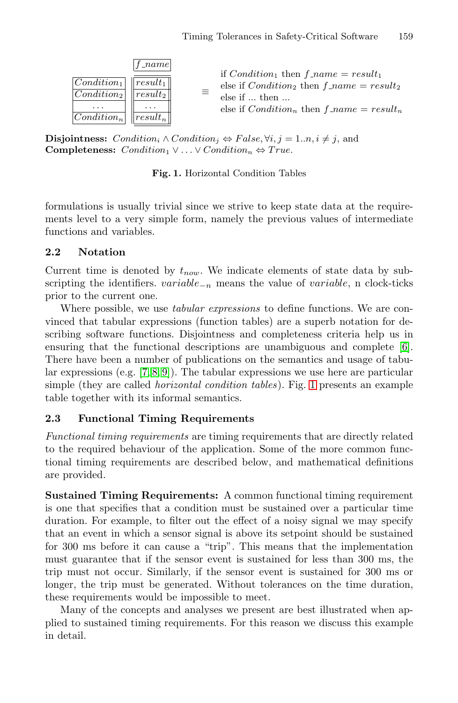

**Disjointness:** Condition<sub>i</sub> ∧ Condition<sub>i</sub>  $\Leftrightarrow$  False,  $\forall i, j = 1..n, i \neq j$ , and **Completeness:**  $Condition_1 \vee ... \vee Condition_n \Leftrightarrow True.$ 

<span id="page-2-0"></span>**Fig. 1.** Horizontal Condition Tables

formulations is usually trivial since we strive to keep state data at the requirements level to a very simple form, namely the previous values of intermediate functions and variables.

### **2.2 Notation**

Current time is denoted by  $t_{now}$ . We indicate elements of state data by subscripting the identifiers.  $variable_{-n}$  means the value of *variable*, n clock-ticks prior to the current one.

Where possible, we use *tabular expressions* to define functions. We are convinced that tabular expressions (function tables) are a superb notation for describing software functions. Disjointness and completeness criteria help us in ensuring that the functional descriptions are unambiguous and complete [\[6\]](#page-15-5). There have been a number of publications on the semantics and usage of tabular expressions (e.g.  $[7, 8, 9]$  $[7, 8, 9]$  $[7, 8, 9]$ ). The tabular expressions we use here are particular simple (they are called *horizontal condition tables*). Fig. [1](#page-2-0) presents an example table together with its informal semantics.

### <span id="page-2-1"></span>**2.3 Functional Timing Requirements**

*Functional timing requirements* are timing requirements that are directly related to the required behaviour of the application. Some of the more common functional timing requirements are described below, and mathematical definitions are provided.

**Sustained Timing Requirements:** A common functional timing requirement is one that specifies that a condition must be sustained over a particular time duration. For example, to filter out the effect of a noisy signal we may specify that an event in which a sensor signal is above its setpoint should be sustained for 300 ms before it can cause a "trip". This means that the implementation must guarantee that if the sensor event is sustained for less than 300 ms, the trip must not occur. Similarly, if the sensor event is sustained for 300 ms or longer, the trip must be generated. Without tolerances on the time duration, these requirements would be impossible to meet.

Many of the concepts and analyses we present are best illustrated when applied to sustained timing requirements. For this reason we discuss this example in detail.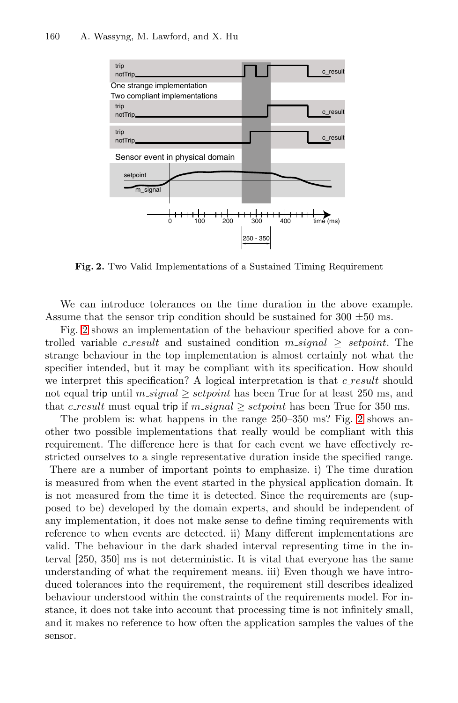

**Fig. 2.** Two Valid Implementations of a Sustained Timing Requirement

<span id="page-3-0"></span>We can introduce tolerances on the time duration in the above example. Assume that the sensor trip condition should be sustained for  $300 \pm 50$  ms.

Fig. [2](#page-3-0) shows an implementation of the behaviour specified above for a controlled variable c\_result and sustained condition  $m$  signal  $>$  setpoint. The strange behaviour in the top implementation is almost certainly not what the specifier intended, but it may be compliant with its specification. How should we interpret this specification? A logical interpretation is that c result should not equal trip until  $m\_signal \geq setpoint$  has been True for at least 250 ms, and that c\_result must equal trip if  $m$ -signal  $\geq$  setpoint has been True for 350 ms.

The problem is: what happens in the range 250–350 ms? Fig. [2](#page-3-0) shows another two possible implementations that really would be compliant with this requirement. The difference here is that for each event we have effectively restricted ourselves to a single representative duration inside the specified range.

There are a number of important points to emphasize. i) The time duration is measured from when the event started in the physical application domain. It is not measured from the time it is detected. Since the requirements are (supposed to be) developed by the domain experts, and should be independent of any implementation, it does not make sense to define timing requirements with reference to when events are detected. ii) Many different implementations are valid. The behaviour in the dark shaded interval representing time in the interval [250, 350] ms is not deterministic. It is vital that everyone has the same understanding of what the requirement means. iii) Even though we have introduced tolerances into the requirement, the requirement still describes idealized behaviour understood within the constraints of the requirements model. For instance, it does not take into account that processing time is not infinitely small, and it makes no reference to how often the application samples the values of the sensor.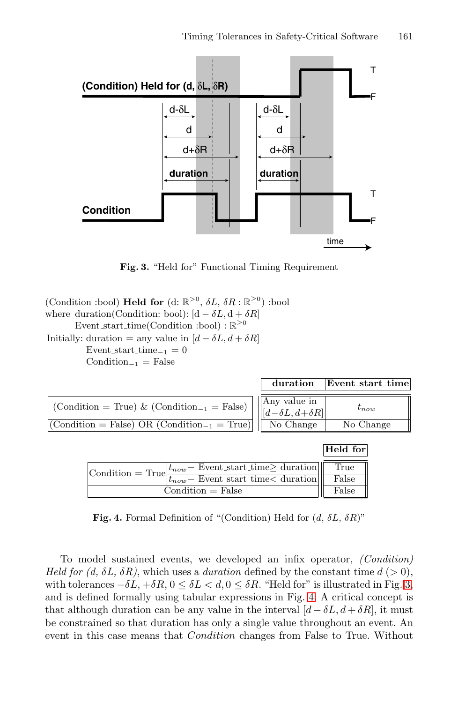

**Fig. 3.** "Held for" Functional Timing Requirement

<span id="page-4-0"></span>(Condition :bool) **Held for** (d:  $\mathbb{R}^{>0}$ ,  $\delta L$ ,  $\delta R$  :  $\mathbb{R}^{\geq 0}$ ) :bool where duration(Condition: bool):  $[d - \delta L, d + \delta R]$ Event start time(Condition :bool) :  $\mathbb{R}^{\geq 0}$ Initially: duration = any value in  $[d - \delta L, d + \delta R]$ Event\_start\_time $_{-1} = 0$  $Condition_{-1} = False$ **duration Event start time**

| (Condition = True) & (Condition <sub>-1</sub> = False) $\left \n \begin{array}{c}\n \left \n \left \n \begin{array}{c}\n \text{Any value in} \\ \left \n \begin{array}{c}\n d-\delta L, d+\delta R\n \end{array}\n \right \n \end{array}\n \right \n\end{array}\n\right $<br>$_{\it{t}now}$<br>$\overline{(\text{Condition} = \text{False}) \text{ OR } (\text{Condition}_{-1} = \text{True})}$ No Change<br>No Change |  |  |
|------------------------------------------------------------------------------------------------------------------------------------------------------------------------------------------------------------------------------------------------------------------------------------------------------------------------------------------------------------------------------------------------------------------------|--|--|
|                                                                                                                                                                                                                                                                                                                                                                                                                        |  |  |
|                                                                                                                                                                                                                                                                                                                                                                                                                        |  |  |

| Condition = True $\frac{t_{now} -$ Event start_time \ge duration True<br>$t_{now} -$ Event start_time \geq duration False |       |
|---------------------------------------------------------------------------------------------------------------------------|-------|
|                                                                                                                           |       |
| $Condition = False$                                                                                                       | False |

**Held for**

**Fig. 4.** Formal Definition of "(Condition) Held for  $(d, \delta L, \delta R)$ "

<span id="page-4-1"></span>To model sustained events, we developed an infix operator, *(Condition) Held for (d,*  $\delta L$ *,*  $\delta R$ *), which uses a <i>duration* defined by the constant time  $d > 0$ ), with tolerances  $-\delta L$ ,  $+\delta R$ ,  $0 \leq \delta L < d$ ,  $0 \leq \delta R$ . "Held for" is illustrated in Fig. [3,](#page-4-0) and is defined formally using tabular expressions in Fig. [4.](#page-4-1) A critical concept is that although duration can be any value in the interval  $[d - \delta L, d + \delta R]$ , it must be constrained so that duration has only a single value throughout an event. An event in this case means that Condition changes from False to True. Without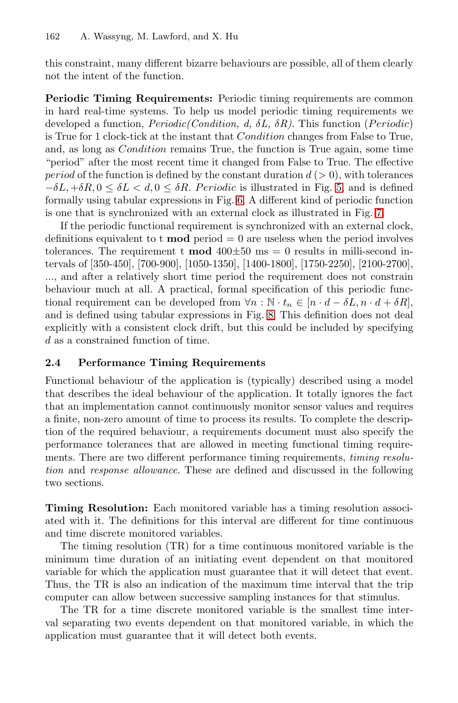this constraint, many different bizarre behaviours are possible, all of them clearly not the intent of the function.

**Periodic Timing Requirements:** Periodic timing requirements are common in hard real-time systems. To help us model periodic timing requirements we developed a function, *Periodic(Condition, d, δL, δR)*. This function (*Periodic*) is True for 1 clock-tick at the instant that Condition changes from False to True, and, as long as Condition remains True, the function is True again, some time "period" after the most recent time it changed from False to True. The effective period of the function is defined by the constant duration  $d > 0$ , with tolerances  $-\delta L, +\delta R, 0 \leq \delta L < d, 0 \leq \delta R$ . Periodic is illustrated in Fig. [5,](#page-6-0) and is defined formally using tabular expressions in Fig. [6.](#page-6-1) A different kind of periodic function is one that is synchronized with an external clock as illustrated in Fig. [7.](#page-7-0)

If the periodic functional requirement is synchronized with an external clock, definitions equivalent to t **mod** period  $= 0$  are useless when the period involves tolerances. The requirement t **mod**  $400 \pm 50$  ms = 0 results in milli-second intervals of [350-450], [700-900], [1050-1350], [1400-1800], [1750-2250], [2100-2700], ..., and after a relatively short time period the requirement does not constrain behaviour much at all. A practical, formal specification of this periodic functional requirement can be developed from  $\forall n : \mathbb{N} \cdot t_n \in [n \cdot d - \delta L, n \cdot d + \delta R]$ , and is defined using tabular expressions in Fig. [8.](#page-7-1) This definition does not deal explicitly with a consistent clock drift, but this could be included by specifying d as a constrained function of time.

### **2.4 Performance Timing Requirements**

Functional behaviour of the application is (typically) described using a model that describes the ideal behaviour of the application. It totally ignores the fact that an implementation cannot continuously monitor sensor values and requires a finite, non-zero amount of time to process its results. To complete the description of the required behaviour, a requirements document must also specify the performance tolerances that are allowed in meeting functional timing requirements. There are two different performance timing requirements, *timing resolution* and *response allowance*. These are defined and discussed in the following two sections.

**Timing Resolution:** Each monitored variable has a timing resolution associated with it. The definitions for this interval are different for time continuous and time discrete monitored variables.

The timing resolution (TR) for a time continuous monitored variable is the minimum time duration of an initiating event dependent on that monitored variable for which the application must guarantee that it will detect that event. Thus, the TR is also an indication of the maximum time interval that the trip computer can allow between successive sampling instances for that stimulus.

The TR for a time discrete monitored variable is the smallest time interval separating two events dependent on that monitored variable, in which the application must guarantee that it will detect both events.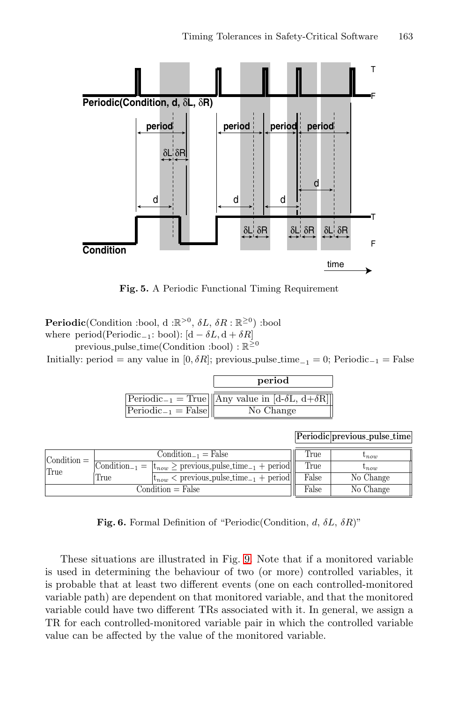

<span id="page-6-0"></span>**Fig. 5.** A Periodic Functional Timing Requirement

**Periodic**(Condition :bool, d : $\mathbb{R}^{>0}$ ,  $\delta L$ ,  $\delta R$  :  $\mathbb{R}^{\geq 0}$ ) :bool where period(Periodic<sub>−1</sub>: bool):  $[d - \delta L, d + \delta R]$ previous pulse time(Condition :bool) :  $\mathbb{R}^{\geq 0}$ 

Initially: period = any value in  $[0, \delta R]$ ; previous pulse time<sub>-1</sub> = 0; Periodic<sub>-1</sub> = False

|                         | period                                                                                 |  |
|-------------------------|----------------------------------------------------------------------------------------|--|
|                         | $\text{Periodic}_{-1} = \text{True} \ \text{Any value in } [d-\delta L, d+\delta R]\ $ |  |
| $Periodic_{-1} = False$ | No Change                                                                              |  |

**Periodic previous pulse time**

| $\text{Condition} =  $ | $Condition_{-1} = False$ |                                                                                                                     | True      | $v_{non}$ |
|------------------------|--------------------------|---------------------------------------------------------------------------------------------------------------------|-----------|-----------|
| True                   |                          | $\boxed{\text{Condition}_{-1} = \begin{bmatrix} t_{now} \ge \text{previous}_1 \text{pulse} \end{bmatrix}}$ + period | True      | $v_{n,0}$ |
|                        | True                     | $ t_{now}$ < previous pulse time <sub>-1</sub> + period                                                             | False     | No Change |
| $Condition = False$    |                          | False                                                                                                               | No Change |           |

**Fig. 6.** Formal Definition of "Periodic(Condition, d, δL, δR)"

<span id="page-6-1"></span>These situations are illustrated in Fig. [9.](#page-8-1) Note that if a monitored variable is used in determining the behaviour of two (or more) controlled variables, it is probable that at least two different events (one on each controlled-monitored variable path) are dependent on that monitored variable, and that the monitored variable could have two different TRs associated with it. In general, we assign a TR for each controlled-monitored variable pair in which the controlled variable value can be affected by the value of the monitored variable.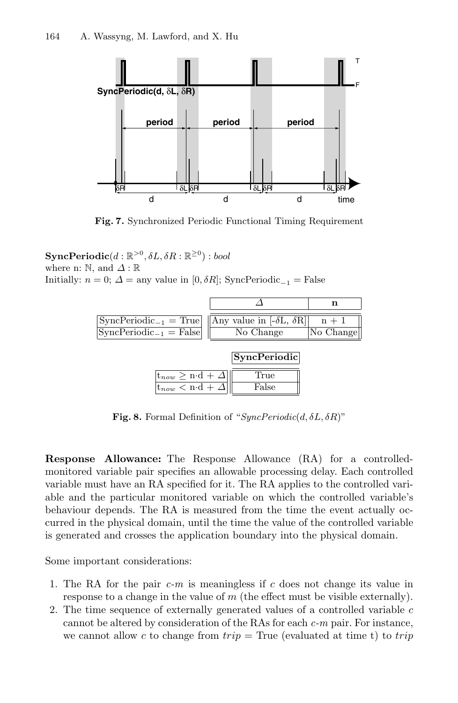

**Fig. 7.** Synchronized Periodic Functional Timing Requirement

<span id="page-7-0"></span>**SyncPeriodic** $(d : \mathbb{R}^{>0}, \delta L, \delta R : \mathbb{R}^{\geq 0}) : \text{bool}$ where n: N, and  $\Delta$  : R Initially:  $n = 0$ ;  $\Delta =$  any value in [0,  $\delta R$ ]; SyncPeriodic<sub>−1</sub> = False



**Fig. 8.** Formal Definition of "*SyncPeriodic*(d, δL, δR)"

<span id="page-7-1"></span>**Response Allowance:** The Response Allowance (RA) for a controlledmonitored variable pair specifies an allowable processing delay. Each controlled variable must have an RA specified for it. The RA applies to the controlled variable and the particular monitored variable on which the controlled variable's behaviour depends. The RA is measured from the time the event actually occurred in the physical domain, until the time the value of the controlled variable is generated and crosses the application boundary into the physical domain.

Some important considerations:

- 1. The RA for the pair *c-m* is meaningless if c does not change its value in response to a change in the value of m (the effect must be visible externally).
- 2. The time sequence of externally generated values of a controlled variable c cannot be altered by consideration of the RAs for each *c-m* pair. For instance, we cannot allow c to change from  $trip = True$  (evaluated at time t) to  $trip$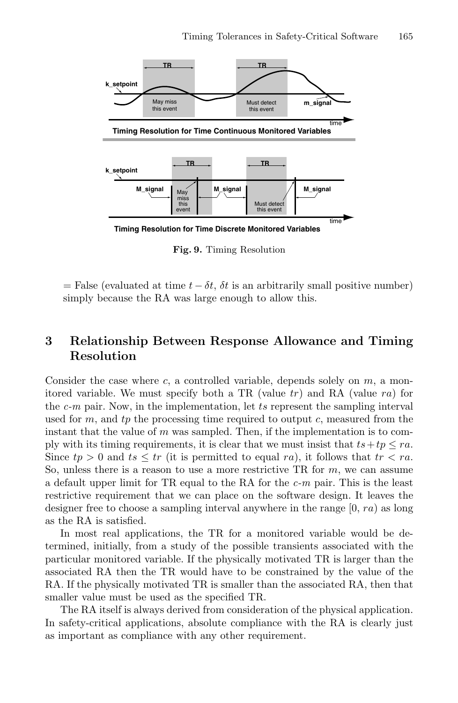

<span id="page-8-1"></span>**Fig. 9.** Timing Resolution

 $=$  False (evaluated at time  $t - \delta t$ ,  $\delta t$  is an arbitrarily small positive number) simply because the RA was large enough to allow this.

## <span id="page-8-0"></span>**3 Relationship Between Response Allowance and Timing Resolution**

Consider the case where c, a controlled variable, depends solely on  $m$ , a monitored variable. We must specify both a TR (value  $tr$ ) and RA (value  $ra$ ) for the *c-m* pair. Now, in the implementation, let ts represent the sampling interval used for  $m$ , and  $tp$  the processing time required to output  $c$ , measured from the instant that the value of  $m$  was sampled. Then, if the implementation is to comply with its timing requirements, it is clear that we must insist that  $ts+tp \leq ra$ . Since  $tp > 0$  and  $ts \leq tr$  (it is permitted to equal ra), it follows that  $tr < ra$ . So, unless there is a reason to use a more restrictive TR for  $m$ , we can assume a default upper limit for TR equal to the RA for the *c-m* pair. This is the least restrictive requirement that we can place on the software design. It leaves the designer free to choose a sampling interval anywhere in the range  $[0, ra)$  as long as the RA is satisfied.

In most real applications, the TR for a monitored variable would be determined, initially, from a study of the possible transients associated with the particular monitored variable. If the physically motivated TR is larger than the associated RA then the TR would have to be constrained by the value of the RA. If the physically motivated TR is smaller than the associated RA, then that smaller value must be used as the specified TR.

The RA itself is always derived from consideration of the physical application. In safety-critical applications, absolute compliance with the RA is clearly just as important as compliance with any other requirement.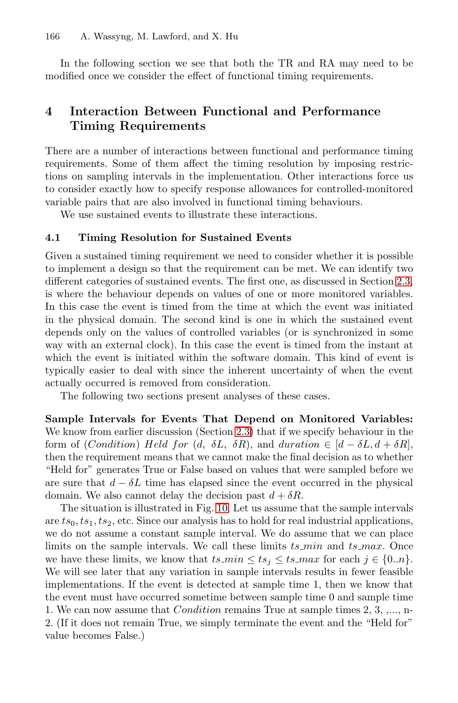In the following section we see that both the TR and RA may need to be modified once we consider the effect of functional timing requirements.

## <span id="page-9-0"></span>**4 Interaction Between Functional and Performance Timing Requirements**

There are a number of interactions between functional and performance timing requirements. Some of them affect the timing resolution by imposing restrictions on sampling intervals in the implementation. Other interactions force us to consider exactly how to specify response allowances for controlled-monitored variable pairs that are also involved in functional timing behaviours.

We use sustained events to illustrate these interactions.

#### **4.1 Timing Resolution for Sustained Events**

Given a sustained timing requirement we need to consider whether it is possible to implement a design so that the requirement can be met. We can identify two different categories of sustained events. The first one, as discussed in Section [2.3,](#page-2-1) is where the behaviour depends on values of one or more monitored variables. In this case the event is timed from the time at which the event was initiated in the physical domain. The second kind is one in which the sustained event depends only on the values of controlled variables (or is synchronized in some way with an external clock). In this case the event is timed from the instant at which the event is initiated within the software domain. This kind of event is typically easier to deal with since the inherent uncertainty of when the event actually occurred is removed from consideration.

The following two sections present analyses of these cases.

**Sample Intervals for Events That Depend on Monitored Variables:** We know from earlier discussion (Section [2.3\)](#page-2-1) that if we specify behaviour in the form of (*Condition*) Held for  $(d, \delta L, \delta R)$ , and duration  $\in [d - \delta L, d + \delta R]$ , then the requirement means that we cannot make the final decision as to whether "Held for" generates True or False based on values that were sampled before we are sure that  $d - \delta L$  time has elapsed since the event occurred in the physical domain. We also cannot delay the decision past  $d + \delta R$ .

The situation is illustrated in Fig. [10.](#page-10-0) Let us assume that the sample intervals are  $ts_0, ts_1, ts_2$ , etc. Since our analysis has to hold for real industrial applications, we do not assume a constant sample interval. We do assume that we can place limits on the sample intervals. We call these limits  $ts\_min$  and  $ts\_max$ . Once we have these limits, we know that  $ts\_min \le ts_j \le ts\_max$  for each  $j \in \{0..n\}$ . We will see later that any variation in sample intervals results in fewer feasible implementations. If the event is detected at sample time 1, then we know that the event must have occurred sometime between sample time 0 and sample time 1. We can now assume that Condition remains True at sample times 2, 3, ,..., n-2. (If it does not remain True, we simply terminate the event and the "Held for" value becomes False.)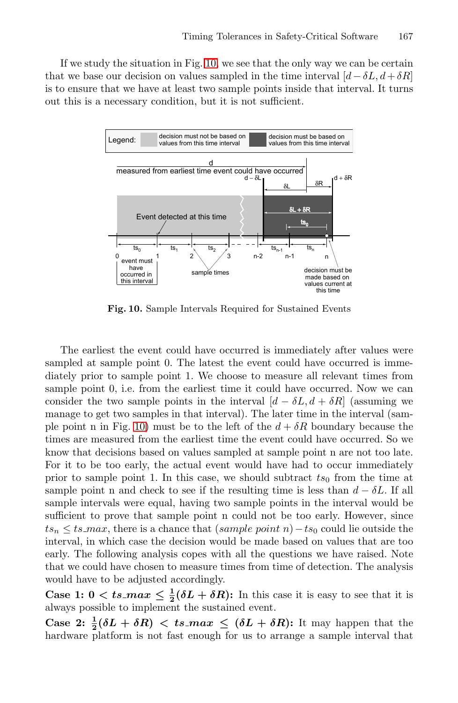If we study the situation in Fig. [10,](#page-10-0) we see that the only way we can be certain that we base our decision on values sampled in the time interval  $[d - \delta L, d + \delta R]$ is to ensure that we have at least two sample points inside that interval. It turns out this is a necessary condition, but it is not sufficient.



<span id="page-10-0"></span>**Fig. 10.** Sample Intervals Required for Sustained Events

The earliest the event could have occurred is immediately after values were sampled at sample point 0. The latest the event could have occurred is immediately prior to sample point 1. We choose to measure all relevant times from sample point 0, i.e. from the earliest time it could have occurred. Now we can consider the two sample points in the interval  $[d - \delta L, d + \delta R]$  (assuming we manage to get two samples in that interval). The later time in the interval (sam-ple point n in Fig. [10\)](#page-10-0) must be to the left of the  $d + \delta R$  boundary because the times are measured from the earliest time the event could have occurred. So we know that decisions based on values sampled at sample point n are not too late. For it to be too early, the actual event would have had to occur immediately prior to sample point 1. In this case, we should subtract  $ts_0$  from the time at sample point n and check to see if the resulting time is less than  $d - \delta L$ . If all sample intervals were equal, having two sample points in the interval would be sufficient to prove that sample point n could not be too early. However, since  $ts_n \leq ts$ -max, there is a chance that  $(sample point n) - ts_0$  could lie outside the interval, in which case the decision would be made based on values that are too early. The following analysis copes with all the questions we have raised. Note that we could have chosen to measure times from time of detection. The analysis would have to be adjusted accordingly.

**Case 1:**  $0 < ts$  *max*  $\leq \frac{1}{2}(\delta L + \delta R)$ : In this case it is easy to see that it is always possible to implement the sustained event.

**Case 2:**  $\frac{1}{2}(\delta L + \delta R)$   $\lt$  **ts\_max**  $\leq (\delta L + \delta R)$ : It may happen that the hardware platform is not fast enough for us to arrange a sample interval that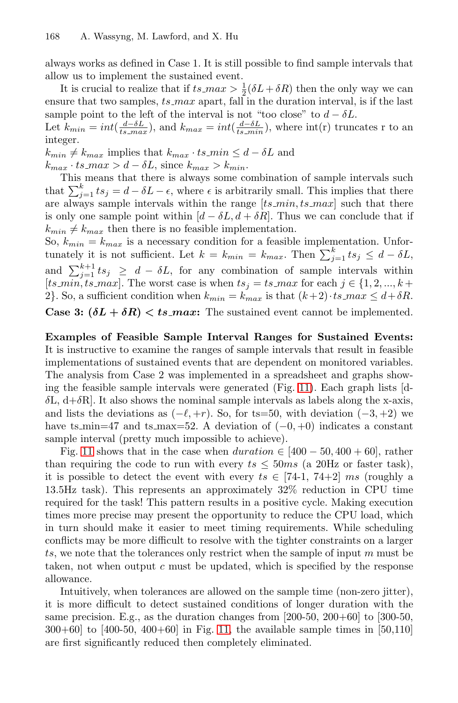always works as defined in Case 1. It is still possible to find sample intervals that allow us to implement the sustained event.

It is crucial to realize that if  $ts\_max > \frac{1}{2}(\delta L + \delta R)$  then the only way we can ensure that two samples, ts max apart, fall in the duration interval, is if the last sample point to the left of the interval is not "too close" to  $d - \delta L$ .

Let  $k_{min} = int(\frac{d-\delta L}{ts_{max}})$ , and  $k_{max} = int(\frac{d-\delta L}{ts_{min}})$ , where int(r) truncates r to an integer.

 $k_{min} \neq k_{max}$  implies that  $k_{max} \cdot ts\_min \leq d - \delta L$  and  $k_{max} \cdot ts\_max > d - \delta L$ , since  $k_{max} > k_{min}$ .

This means that there is always some combination of sample intervals such that  $\sum_{j=1}^{k} ts_j = d - \delta L - \epsilon$ , where  $\epsilon$  is arbitrarily small. This implies that there are always sample intervals within the range  $[ts\_min, ts\_max]$  such that there is only one sample point within  $[d - \delta L, d + \delta R]$ . Thus we can conclude that if  $k_{min} \neq k_{max}$  then there is no feasible implementation.

So,  $k_{min} = k_{max}$  is a necessary condition for a feasible implementation. Unfortunately it is not sufficient. Let  $k = k_{min} = k_{max}$ . Then  $\sum_{j=1}^{k} ts_j \leq d - \delta L$ , and  $\sum_{j=1}^{k+1} t s_j \geq d - \delta L$ , for any combination of sample intervals within [ts\_min, ts\_max]. The worst case is when  $ts_j = ts$ \_max for each  $j \in \{1, 2, ..., k +$ 2}. So, a sufficient condition when  $k_{min} = k_{max}$  is that  $(k+2) \cdot ts\_max \leq d + \delta R$ . **Case 3:**  $(\delta L + \delta R) < ts\_max$ **:** The sustained event cannot be implemented.

**Examples of Feasible Sample Interval Ranges for Sustained Events:** It is instructive to examine the ranges of sample intervals that result in feasible implementations of sustained events that are dependent on monitored variables. The analysis from Case 2 was implemented in a spreadsheet and graphs showing the feasible sample intervals were generated (Fig. [11\)](#page-12-0). Each graph lists [d- $\delta L, d+\delta R$ . It also shows the nominal sample intervals as labels along the x-axis, and lists the deviations as  $(-\ell, +r)$ . So, for ts=50, with deviation  $(-3, +2)$  we have ts\_min=47 and ts\_max=52. A deviation of  $(-0, +0)$  indicates a constant sample interval (pretty much impossible to achieve).

Fig. [11](#page-12-0) shows that in the case when  $duration \in [400 - 50, 400 + 60]$ , rather than requiring the code to run with every  $ts \leq 50ms$  (a 20Hz or faster task), it is possible to detect the event with every  $ts \in [74-1, 74+2]$  ms (roughly a 13.5Hz task). This represents an approximately 32% reduction in CPU time required for the task! This pattern results in a positive cycle. Making execution times more precise may present the opportunity to reduce the CPU load, which in turn should make it easier to meet timing requirements. While scheduling conflicts may be more difficult to resolve with the tighter constraints on a larger ts, we note that the tolerances only restrict when the sample of input  $m$  must be taken, not when output  $c$  must be updated, which is specified by the response allowance.

Intuitively, when tolerances are allowed on the sample time (non-zero jitter), it is more difficult to detect sustained conditions of longer duration with the same precision. E.g., as the duration changes from [200-50, 200+60] to [300-50, 300+60] to [400-50, 400+60] in Fig. [11,](#page-12-0) the available sample times in [50,110] are first significantly reduced then completely eliminated.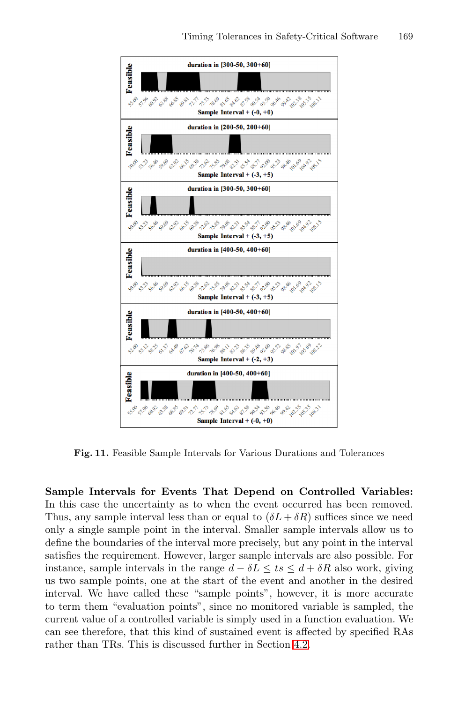

**Fig. 11.** Feasible Sample Intervals for Various Durations and Tolerances

<span id="page-12-0"></span>**Sample Intervals for Events That Depend on Controlled Variables:** In this case the uncertainty as to when the event occurred has been removed. Thus, any sample interval less than or equal to  $(\delta L + \delta R)$  suffices since we need only a single sample point in the interval. Smaller sample intervals allow us to define the boundaries of the interval more precisely, but any point in the interval satisfies the requirement. However, larger sample intervals are also possible. For instance, sample intervals in the range  $d - \delta L \leq ts \leq d + \delta R$  also work, giving us two sample points, one at the start of the event and another in the desired interval. We have called these "sample points", however, it is more accurate to term them "evaluation points", since no monitored variable is sampled, the current value of a controlled variable is simply used in a function evaluation. We can see therefore, that this kind of sustained event is affected by specified RAs rather than TRs. This is discussed further in Section [4.2.](#page-13-0)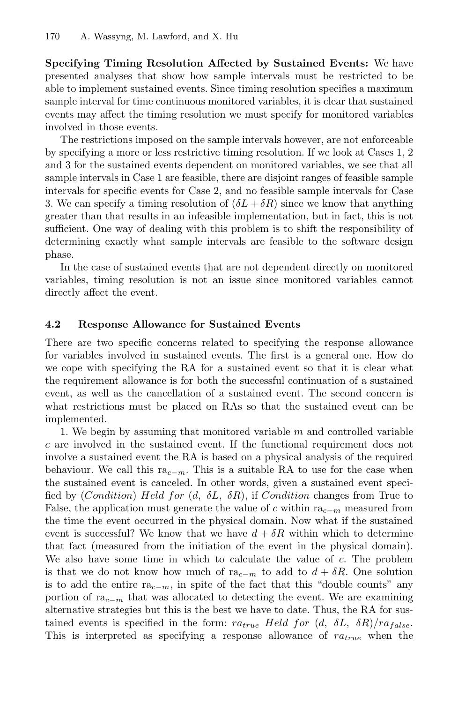**Specifying Timing Resolution Affected by Sustained Events:** We have presented analyses that show how sample intervals must be restricted to be able to implement sustained events. Since timing resolution specifies a maximum sample interval for time continuous monitored variables, it is clear that sustained events may affect the timing resolution we must specify for monitored variables involved in those events.

The restrictions imposed on the sample intervals however, are not enforceable by specifying a more or less restrictive timing resolution. If we look at Cases 1, 2 and 3 for the sustained events dependent on monitored variables, we see that all sample intervals in Case 1 are feasible, there are disjoint ranges of feasible sample intervals for specific events for Case 2, and no feasible sample intervals for Case 3. We can specify a timing resolution of  $(\delta L + \delta R)$  since we know that anything greater than that results in an infeasible implementation, but in fact, this is not sufficient. One way of dealing with this problem is to shift the responsibility of determining exactly what sample intervals are feasible to the software design phase.

In the case of sustained events that are not dependent directly on monitored variables, timing resolution is not an issue since monitored variables cannot directly affect the event.

#### <span id="page-13-0"></span>**4.2 Response Allowance for Sustained Events**

There are two specific concerns related to specifying the response allowance for variables involved in sustained events. The first is a general one. How do we cope with specifying the RA for a sustained event so that it is clear what the requirement allowance is for both the successful continuation of a sustained event, as well as the cancellation of a sustained event. The second concern is what restrictions must be placed on RAs so that the sustained event can be implemented.

1. We begin by assuming that monitored variable m and controlled variable c are involved in the sustained event. If the functional requirement does not involve a sustained event the RA is based on a physical analysis of the required behaviour. We call this ra<sub>c−m</sub>. This is a suitable RA to use for the case when the sustained event is canceled. In other words, given a sustained event specified by (*Condition*) Held for  $(d, \delta L, \delta R)$ , if *Condition* changes from True to False, the application must generate the value of c within  $ra_{c-m}$  measured from the time the event occurred in the physical domain. Now what if the sustained event is successful? We know that we have  $d + \delta R$  within which to determine that fact (measured from the initiation of the event in the physical domain). We also have some time in which to calculate the value of c. The problem is that we do not know how much of ra<sub>c−m</sub> to add to  $d + \delta R$ . One solution is to add the entire  $ra_{c-m}$ , in spite of the fact that this "double counts" any portion of  $ra_{c-m}$  that was allocated to detecting the event. We are examining alternative strategies but this is the best we have to date. Thus, the RA for sustained events is specified in the form:  $ra_{true}$  Held for (d,  $\delta L$ ,  $\delta R$ )/ra<sub>false</sub>. This is interpreted as specifying a response allowance of  $ra_{true}$  when the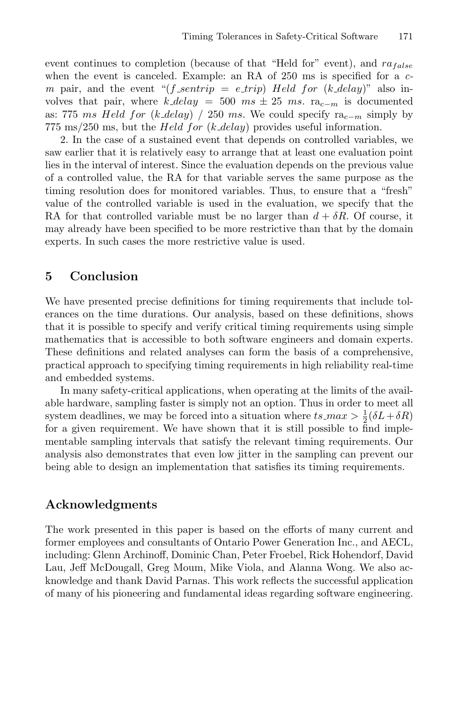event continues to completion (because of that "Held for" event), and  $ra_{false}$ when the event is canceled. Example: an RA of 250 ms is specified for a *cm* pair, and the event "(*f sentrip = e\_trip*) Held for  $(k$  delay)" also involves that pair, where k delay = 500 ms  $\pm$  25 ms. ra<sub>c−m</sub> is documented as: 775 ms Held for (k\_delay) / 250 ms. We could specify  $ra_{c-m}$  simply by 775 ms/250 ms, but the *Held for*  $(k$  *delay*) provides useful information.

2. In the case of a sustained event that depends on controlled variables, we saw earlier that it is relatively easy to arrange that at least one evaluation point lies in the interval of interest. Since the evaluation depends on the previous value of a controlled value, the RA for that variable serves the same purpose as the timing resolution does for monitored variables. Thus, to ensure that a "fresh" value of the controlled variable is used in the evaluation, we specify that the RA for that controlled variable must be no larger than  $d + \delta R$ . Of course, it may already have been specified to be more restrictive than that by the domain experts. In such cases the more restrictive value is used.

### <span id="page-14-0"></span>**5 Conclusion**

We have presented precise definitions for timing requirements that include tolerances on the time durations. Our analysis, based on these definitions, shows that it is possible to specify and verify critical timing requirements using simple mathematics that is accessible to both software engineers and domain experts. These definitions and related analyses can form the basis of a comprehensive, practical approach to specifying timing requirements in high reliability real-time and embedded systems.

In many safety-critical applications, when operating at the limits of the available hardware, sampling faster is simply not an option. Thus in order to meet all system deadlines, we may be forced into a situation where  $ts\_max > \frac{1}{2}(\delta L + \delta R)$ for a given requirement. We have shown that it is still possible to find implementable sampling intervals that satisfy the relevant timing requirements. Our analysis also demonstrates that even low jitter in the sampling can prevent our being able to design an implementation that satisfies its timing requirements.

### **Acknowledgments**

The work presented in this paper is based on the efforts of many current and former employees and consultants of Ontario Power Generation Inc., and AECL, including: Glenn Archinoff, Dominic Chan, Peter Froebel, Rick Hohendorf, David Lau, Jeff McDougall, Greg Moum, Mike Viola, and Alanna Wong. We also acknowledge and thank David Parnas. This work reflects the successful application of many of his pioneering and fundamental ideas regarding software engineering.